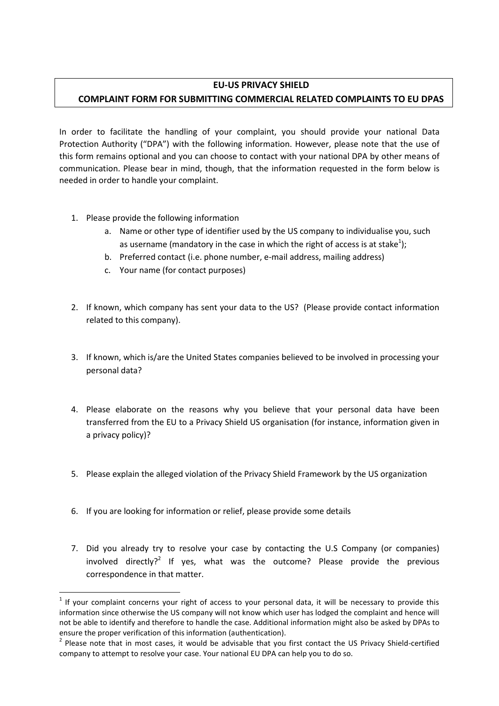## **EU-US PRIVACY SHIELD**

## **COMPLAINT FORM FOR SUBMITTING COMMERCIAL RELATED COMPLAINTS TO EU DPAS**

In order to facilitate the handling of your complaint, you should provide your national Data Protection Authority ("DPA") with the following information. However, please note that the use of this form remains optional and you can choose to contact with your national DPA by other means of communication. Please bear in mind, though, that the information requested in the form below is needed in order to handle your complaint.

- 1. Please provide the following information
	- a. Name or other type of identifier used by the US company to individualise you, such as username (mandatory in the case in which the right of access is at stake<sup>1</sup>);
	- b. Preferred contact (i.e. phone number, e-mail address, mailing address)
	- c. Your name (for contact purposes)
- 2. If known, which company has sent your data to the US? (Please provide contact information related to this company).
- 3. If known, which is/are the United States companies believed to be involved in processing your personal data?
- 4. Please elaborate on the reasons why you believe that your personal data have been transferred from the EU to a Privacy Shield US organisation (for instance, information given in a privacy policy)?
- 5. Please explain the alleged violation of the Privacy Shield Framework by the US organization
- 6. If you are looking for information or relief, please provide some details

**.** 

7. Did you already try to resolve your case by contacting the U.S Company (or companies) involved directly?<sup>2</sup> If yes, what was the outcome? Please provide the previous correspondence in that matter.

 $<sup>1</sup>$  If your complaint concerns your right of access to your personal data, it will be necessary to provide this</sup> information since otherwise the US company will not know which user has lodged the complaint and hence will not be able to identify and therefore to handle the case. Additional information might also be asked by DPAs to ensure the proper verification of this information (authentication).

<sup>&</sup>lt;sup>2</sup> Please note that in most cases, it would be advisable that you first contact the US Privacy Shield-certified company to attempt to resolve your case. Your national EU DPA can help you to do so.